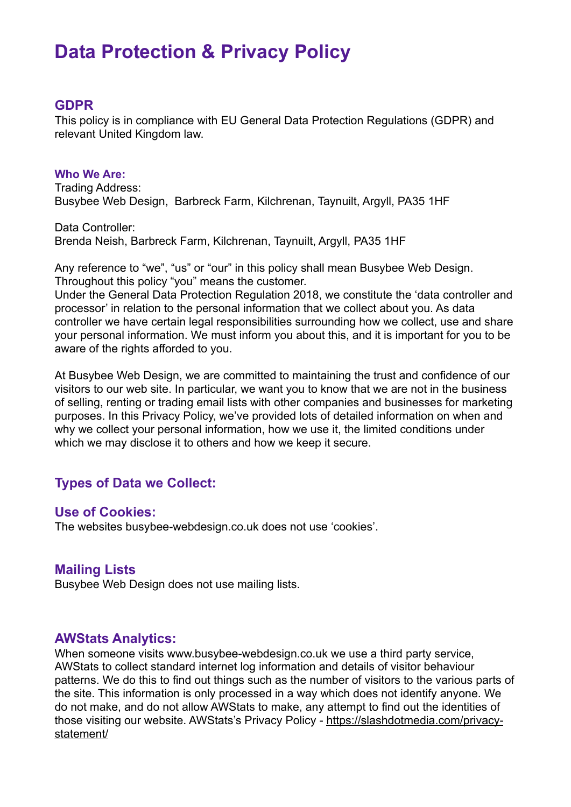# **Data Protection & Privacy Policy**

#### **GDPR**

This policy is in compliance with EU General Data Protection Regulations (GDPR) and relevant United Kingdom law.

**Who We Are:**  Trading Address: Busybee Web Design, Barbreck Farm, Kilchrenan, Taynuilt, Argyll, PA35 1HF

Data Controller: Brenda Neish, Barbreck Farm, Kilchrenan, Taynuilt, Argyll, PA35 1HF

Any reference to "we", "us" or "our" in this policy shall mean Busybee Web Design. Throughout this policy "you" means the customer.

Under the General Data Protection Regulation 2018, we constitute the 'data controller and processor' in relation to the personal information that we collect about you. As data controller we have certain legal responsibilities surrounding how we collect, use and share your personal information. We must inform you about this, and it is important for you to be aware of the rights afforded to you.

At Busybee Web Design, we are committed to maintaining the trust and confidence of our visitors to our web site. In particular, we want you to know that we are not in the business of selling, renting or trading email lists with other companies and businesses for marketing purposes. In this Privacy Policy, we've provided lots of detailed information on when and why we collect your personal information, how we use it, the limited conditions under which we may disclose it to others and how we keep it secure.

# **Types of Data we Collect:**

#### **Use of Cookies:**

The websites busybee-webdesign.co.uk does not use 'cookies'.

#### **Mailing Lists**

Busybee Web Design does not use mailing lists.

#### **AWStats Analytics:**

When someone visits www.busybee-webdesign.co.uk we use a third party service, AWStats to collect standard internet log information and details of visitor behaviour patterns. We do this to find out things such as the number of visitors to the various parts of the site. This information is only processed in a way which does not identify anyone. We do not make, and do not allow AWStats to make, any attempt to find out the identities of [those visiting our website. AWStats's Privacy Policy - https://slashdotmedia.com/privacy](https://slashdotmedia.com/privacy-statement/)statement/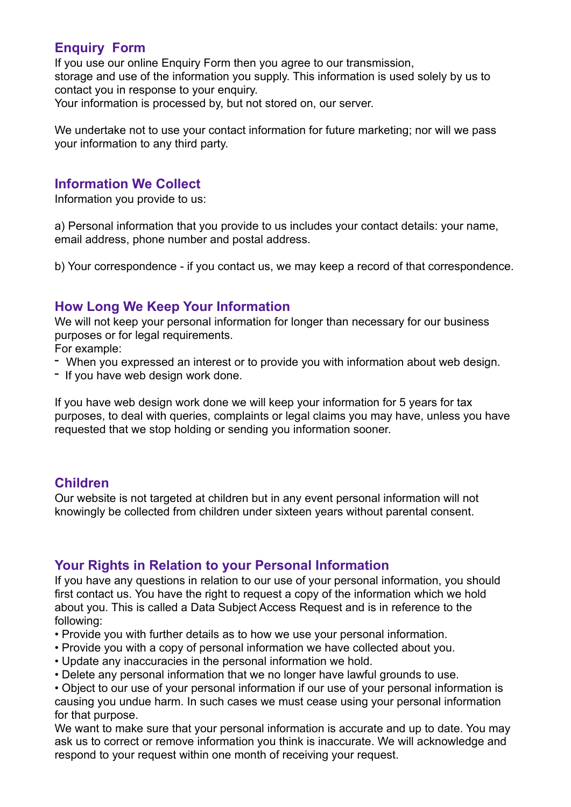# **Enquiry Form**

If you use our online Enquiry Form then you agree to our transmission, storage and use of the information you supply. This information is used solely by us to contact you in response to your enquiry. Your information is processed by, but not stored on, our server.

We undertake not to use your contact information for future marketing; nor will we pass your information to any third party.

#### **Information We Collect**

Information you provide to us:

a) Personal information that you provide to us includes your contact details: your name, email address, phone number and postal address.

b) Your correspondence - if you contact us, we may keep a record of that correspondence.

# **How Long We Keep Your Information**

We will not keep your personal information for longer than necessary for our business purposes or for legal requirements.

For example:

- When you expressed an interest or to provide you with information about web design.
- If you have web design work done.

If you have web design work done we will keep your information for 5 years for tax purposes, to deal with queries, complaints or legal claims you may have, unless you have requested that we stop holding or sending you information sooner.

# **Children**

Our website is not targeted at children but in any event personal information will not knowingly be collected from children under sixteen years without parental consent.

# **Your Rights in Relation to your Personal Information**

If you have any questions in relation to our use of your personal information, you should first contact us. You have the right to request a copy of the information which we hold about you. This is called a Data Subject Access Request and is in reference to the following:

- Provide you with further details as to how we use your personal information.
- Provide you with a copy of personal information we have collected about you.
- Update any inaccuracies in the personal information we hold.
- Delete any personal information that we no longer have lawful grounds to use.

• Object to our use of your personal information if our use of your personal information is causing you undue harm. In such cases we must cease using your personal information for that purpose.

We want to make sure that your personal information is accurate and up to date. You may ask us to correct or remove information you think is inaccurate. We will acknowledge and respond to your request within one month of receiving your request.